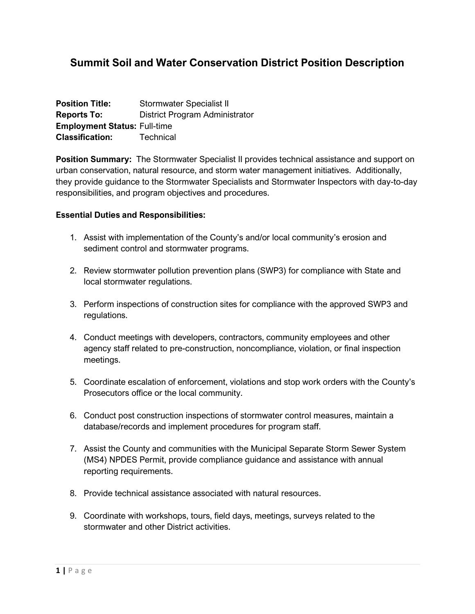# **Summit Soil and Water Conservation District Position Description**

| <b>Position Title:</b>              | Stormwater Specialist II       |
|-------------------------------------|--------------------------------|
| <b>Reports To:</b>                  | District Program Administrator |
| <b>Employment Status: Full-time</b> |                                |
| <b>Classification:</b>              | Technical                      |

**Position Summary:** The Stormwater Specialist II provides technical assistance and support on urban conservation, natural resource, and storm water management initiatives. Additionally, they provide guidance to the Stormwater Specialists and Stormwater Inspectors with day-to-day responsibilities, and program objectives and procedures.

### **Essential Duties and Responsibilities:**

- 1. Assist with implementation of the County's and/or local community's erosion and sediment control and stormwater programs.
- 2. Review stormwater pollution prevention plans (SWP3) for compliance with State and local stormwater regulations.
- 3. Perform inspections of construction sites for compliance with the approved SWP3 and regulations.
- 4. Conduct meetings with developers, contractors, community employees and other agency staff related to pre-construction, noncompliance, violation, or final inspection meetings.
- 5. Coordinate escalation of enforcement, violations and stop work orders with the County's Prosecutors office or the local community.
- 6. Conduct post construction inspections of stormwater control measures, maintain a database/records and implement procedures for program staff.
- 7. Assist the County and communities with the Municipal Separate Storm Sewer System (MS4) NPDES Permit, provide compliance guidance and assistance with annual reporting requirements.
- 8. Provide technical assistance associated with natural resources.
- 9. Coordinate with workshops, tours, field days, meetings, surveys related to the stormwater and other District activities.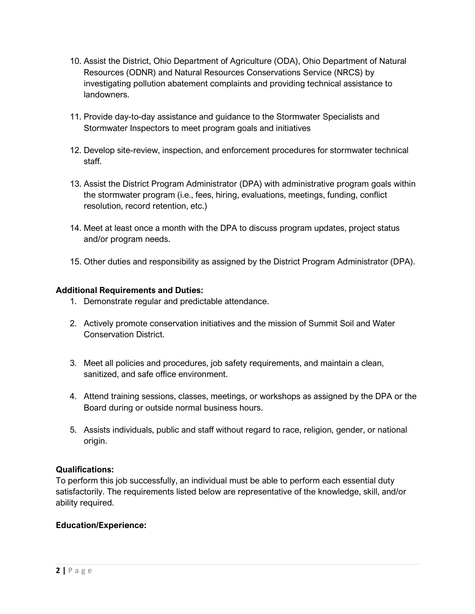- 10. Assist the District, Ohio Department of Agriculture (ODA), Ohio Department of Natural Resources (ODNR) and Natural Resources Conservations Service (NRCS) by investigating pollution abatement complaints and providing technical assistance to landowners.
- 11. Provide day-to-day assistance and guidance to the Stormwater Specialists and Stormwater Inspectors to meet program goals and initiatives
- 12. Develop site-review, inspection, and enforcement procedures for stormwater technical staff.
- 13. Assist the District Program Administrator (DPA) with administrative program goals within the stormwater program (i.e., fees, hiring, evaluations, meetings, funding, conflict resolution, record retention, etc.)
- 14. Meet at least once a month with the DPA to discuss program updates, project status and/or program needs.
- 15. Other duties and responsibility as assigned by the District Program Administrator (DPA).

# **Additional Requirements and Duties:**

- 1. Demonstrate regular and predictable attendance.
- 2. Actively promote conservation initiatives and the mission of Summit Soil and Water Conservation District.
- 3. Meet all policies and procedures, job safety requirements, and maintain a clean, sanitized, and safe office environment.
- 4. Attend training sessions, classes, meetings, or workshops as assigned by the DPA or the Board during or outside normal business hours.
- 5. Assists individuals, public and staff without regard to race, religion, gender, or national origin.

# **Qualifications:**

To perform this job successfully, an individual must be able to perform each essential duty satisfactorily. The requirements listed below are representative of the knowledge, skill, and/or ability required.

## **Education/Experience:**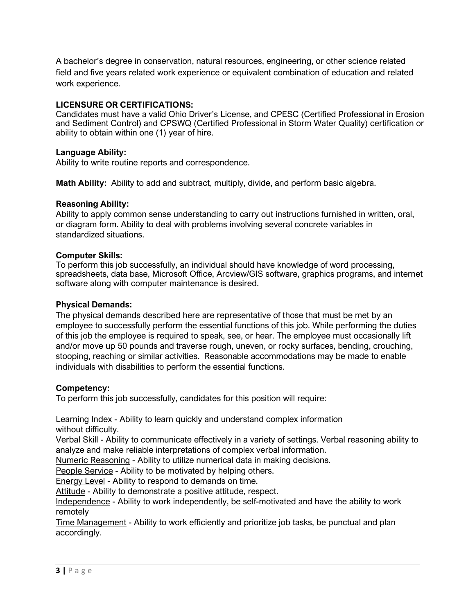A bachelor's degree in conservation, natural resources, engineering, or other science related field and five years related work experience or equivalent combination of education and related work experience.

# **LICENSURE OR CERTIFICATIONS:**

Candidates must have a valid Ohio Driver's License, and CPESC (Certified Professional in Erosion and Sediment Control) and CPSWQ (Certified Professional in Storm Water Quality) certification or ability to obtain within one (1) year of hire.

## **Language Ability:**

Ability to write routine reports and correspondence.

**Math Ability:** Ability to add and subtract, multiply, divide, and perform basic algebra.

### **Reasoning Ability:**

Ability to apply common sense understanding to carry out instructions furnished in written, oral, or diagram form. Ability to deal with problems involving several concrete variables in standardized situations.

### **Computer Skills:**

To perform this job successfully, an individual should have knowledge of word processing, spreadsheets, data base, Microsoft Office, Arcview/GIS software, graphics programs, and internet software along with computer maintenance is desired.

### **Physical Demands:**

The physical demands described here are representative of those that must be met by an employee to successfully perform the essential functions of this job. While performing the duties of this job the employee is required to speak, see, or hear. The employee must occasionally lift and/or move up 50 pounds and traverse rough, uneven, or rocky surfaces, bending, crouching, stooping, reaching or similar activities. Reasonable accommodations may be made to enable individuals with disabilities to perform the essential functions.

## **Competency:**

To perform this job successfully, candidates for this position will require:

Learning Index - Ability to learn quickly and understand complex information without difficulty.

Verbal Skill - Ability to communicate effectively in a variety of settings. Verbal reasoning ability to analyze and make reliable interpretations of complex verbal information.

Numeric Reasoning - Ability to utilize numerical data in making decisions.

People Service - Ability to be motivated by helping others.

Energy Level - Ability to respond to demands on time.

Attitude - Ability to demonstrate a positive attitude, respect.

Independence - Ability to work independently, be self-motivated and have the ability to work remotely

Time Management - Ability to work efficiently and prioritize job tasks, be punctual and plan accordingly.